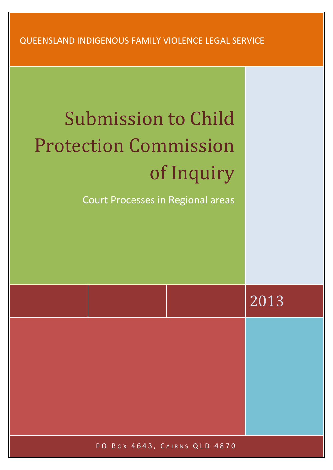QUEENSLAND INDIGENOUS FAMILY VIOLENCE LEGAL SERVICE

# Submission to Child Protection Commission of Inquiry

Court Processes in Regional areas

|  | 2013 |
|--|------|
|  |      |
|  |      |
|  |      |
|  |      |

PO BOX 4643, CAIRNS QLD 4870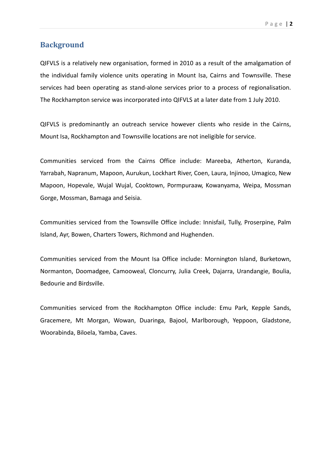# **Background**

QIFVLS is a relatively new organisation, formed in 2010 as a result of the amalgamation of the individual family violence units operating in Mount Isa, Cairns and Townsville. These services had been operating as stand-alone services prior to a process of regionalisation. The Rockhampton service was incorporated into QIFVLS at a later date from 1 July 2010.

QIFVLS is predominantly an outreach service however clients who reside in the Cairns, Mount Isa, Rockhampton and Townsville locations are not ineligible for service.

Communities serviced from the Cairns Office include: Mareeba, Atherton, Kuranda, Yarrabah, Napranum, Mapoon, Aurukun, Lockhart River, Coen, Laura, Injinoo, Umagico, New Mapoon, Hopevale, Wujal Wujal, Cooktown, Pormpuraaw, Kowanyama, Weipa, Mossman Gorge, Mossman, Bamaga and Seisia.

Communities serviced from the Townsville Office include: Innisfail, Tully, Proserpine, Palm Island, Ayr, Bowen, Charters Towers, Richmond and Hughenden.

Communities serviced from the Mount Isa Office include: Mornington Island, Burketown, Normanton, Doomadgee, Camooweal, Cloncurry, Julia Creek, Dajarra, Urandangie, Boulia, Bedourie and Birdsville.

Communities serviced from the Rockhampton Office include: Emu Park, Kepple Sands, Gracemere, Mt Morgan, Wowan, Duaringa, Bajool, Marlborough, Yeppoon, Gladstone, Woorabinda, Biloela, Yamba, Caves.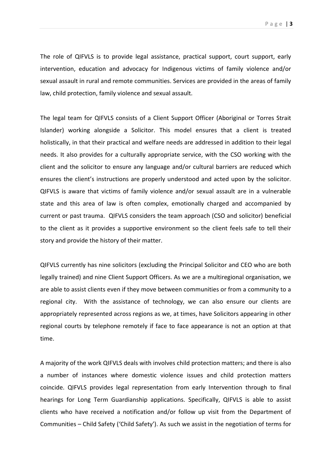The role of QIFVLS is to provide legal assistance, practical support, court support, early intervention, education and advocacy for Indigenous victims of family violence and/or sexual assault in rural and remote communities. Services are provided in the areas of family law, child protection, family violence and sexual assault.

The legal team for QIFVLS consists of a Client Support Officer (Aboriginal or Torres Strait Islander) working alongside a Solicitor. This model ensures that a client is treated holistically, in that their practical and welfare needs are addressed in addition to their legal needs. It also provides for a culturally appropriate service, with the CSO working with the client and the solicitor to ensure any language and/or cultural barriers are reduced which ensures the client's instructions are properly understood and acted upon by the solicitor. QIFVLS is aware that victims of family violence and/or sexual assault are in a vulnerable state and this area of law is often complex, emotionally charged and accompanied by current or past trauma. QIFVLS considers the team approach (CSO and solicitor) beneficial to the client as it provides a supportive environment so the client feels safe to tell their story and provide the history of their matter.

QIFVLS currently has nine solicitors (excluding the Principal Solicitor and CEO who are both legally trained) and nine Client Support Officers. As we are a multiregional organisation, we are able to assist clients even if they move between communities or from a community to a regional city. With the assistance of technology, we can also ensure our clients are appropriately represented across regions as we, at times, have Solicitors appearing in other regional courts by telephone remotely if face to face appearance is not an option at that time.

A majority of the work QIFVLS deals with involves child protection matters; and there is also a number of instances where domestic violence issues and child protection matters coincide. QIFVLS provides legal representation from early Intervention through to final hearings for Long Term Guardianship applications. Specifically, QIFVLS is able to assist clients who have received a notification and/or follow up visit from the Department of Communities – Child Safety ('Child Safety'). As such we assist in the negotiation of terms for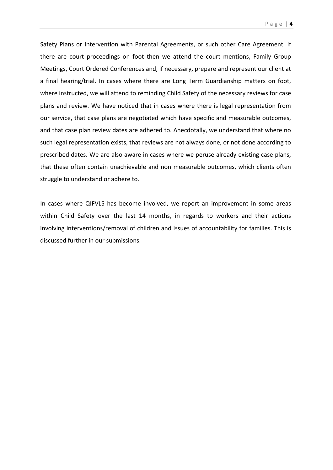Safety Plans or Intervention with Parental Agreements, or such other Care Agreement. If there are court proceedings on foot then we attend the court mentions, Family Group Meetings, Court Ordered Conferences and, if necessary, prepare and represent our client at a final hearing/trial. In cases where there are Long Term Guardianship matters on foot, where instructed, we will attend to reminding Child Safety of the necessary reviews for case plans and review. We have noticed that in cases where there is legal representation from our service, that case plans are negotiated which have specific and measurable outcomes, and that case plan review dates are adhered to. Anecdotally, we understand that where no such legal representation exists, that reviews are not always done, or not done according to prescribed dates. We are also aware in cases where we peruse already existing case plans, that these often contain unachievable and non measurable outcomes, which clients often struggle to understand or adhere to.

In cases where QIFVLS has become involved, we report an improvement in some areas within Child Safety over the last 14 months, in regards to workers and their actions involving interventions/removal of children and issues of accountability for families. This is discussed further in our submissions.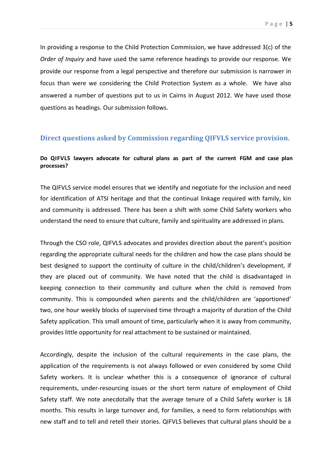In providing a response to the Child Protection Commission, we have addressed 3(c) of the *Order of Inquiry* and have used the same reference headings to provide our response. We provide our response from a legal perspective and therefore our submission is narrower in focus than were we considering the Child Protection System as a whole. We have also answered a number of questions put to us in Cairns in August 2012. We have used those questions as headings. Our submission follows.

## **Direct questions asked by Commission regarding QIFVLS service provision.**

## **Do QIFVLS lawyers advocate for cultural plans as part of the current FGM and case plan processes?**

The QIFVLS service model ensures that we identify and negotiate for the inclusion and need for identification of ATSI heritage and that the continual linkage required with family, kin and community is addressed. There has been a shift with some Child Safety workers who understand the need to ensure that culture, family and spirituality are addressed in plans.

Through the CSO role, QIFVLS advocates and provides direction about the parent's position regarding the appropriate cultural needs for the children and how the case plans should be best designed to support the continuity of culture in the child/children's development, if they are placed out of community. We have noted that the child is disadvantaged in keeping connection to their community and culture when the child is removed from community. This is compounded when parents and the child/children are 'apportioned' two, one hour weekly blocks of supervised time through a majority of duration of the Child Safety application. This small amount of time, particularly when it is away from community, provides little opportunity for real attachment to be sustained or maintained.

Accordingly, despite the inclusion of the cultural requirements in the case plans, the application of the requirements is not always followed or even considered by some Child Safety workers. It is unclear whether this is a consequence of ignorance of cultural requirements, under-resourcing issues or the short term nature of employment of Child Safety staff. We note anecdotally that the average tenure of a Child Safety worker is 18 months. This results in large turnover and, for families, a need to form relationships with new staff and to tell and retell their stories. QIFVLS believes that cultural plans should be a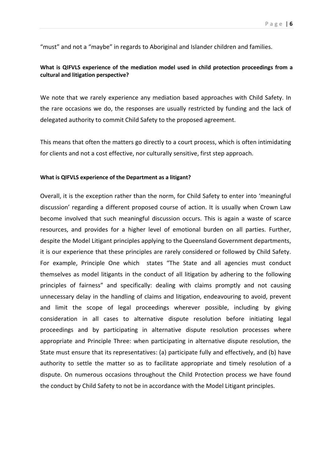"must" and not a "maybe" in regards to Aboriginal and Islander children and families.

## **What is QIFVLS experience of the mediation model used in child protection proceedings from a cultural and litigation perspective?**

We note that we rarely experience any mediation based approaches with Child Safety. In the rare occasions we do, the responses are usually restricted by funding and the lack of delegated authority to commit Child Safety to the proposed agreement.

This means that often the matters go directly to a court process, which is often intimidating for clients and not a cost effective, nor culturally sensitive, first step approach.

#### **What is QIFVLS experience of the Department as a litigant?**

Overall, it is the exception rather than the norm, for Child Safety to enter into 'meaningful discussion' regarding a different proposed course of action. It is usually when Crown Law become involved that such meaningful discussion occurs. This is again a waste of scarce resources, and provides for a higher level of emotional burden on all parties. Further, despite the Model Litigant principles applying to the Queensland Government departments, it is our experience that these principles are rarely considered or followed by Child Safety. For example, Principle One which states "The State and all agencies must conduct themselves as model litigants in the conduct of all litigation by adhering to the following principles of fairness" and specifically: dealing with claims promptly and not causing unnecessary delay in the handling of claims and litigation, endeavouring to avoid, prevent and limit the scope of legal proceedings wherever possible, including by giving consideration in all cases to alternative dispute resolution before initiating legal proceedings and by participating in alternative dispute resolution processes where appropriate and Principle Three: when participating in alternative dispute resolution, the State must ensure that its representatives: (a) participate fully and effectively, and (b) have authority to settle the matter so as to facilitate appropriate and timely resolution of a dispute. On numerous occasions throughout the Child Protection process we have found the conduct by Child Safety to not be in accordance with the Model Litigant principles.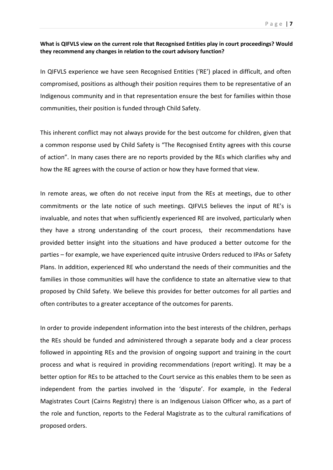#### **What is QIFVLS view on the current role that Recognised Entities play in court proceedings? Would they recommend any changes in relation to the court advisory function?**

In QIFVLS experience we have seen Recognised Entities ('RE') placed in difficult, and often compromised, positions as although their position requires them to be representative of an Indigenous community and in that representation ensure the best for families within those communities, their position is funded through Child Safety.

This inherent conflict may not always provide for the best outcome for children, given that a common response used by Child Safety is "The Recognised Entity agrees with this course of action". In many cases there are no reports provided by the REs which clarifies why and how the RE agrees with the course of action or how they have formed that view.

In remote areas, we often do not receive input from the REs at meetings, due to other commitments or the late notice of such meetings. QIFVLS believes the input of RE's is invaluable, and notes that when sufficiently experienced RE are involved, particularly when they have a strong understanding of the court process, their recommendations have provided better insight into the situations and have produced a better outcome for the parties – for example, we have experienced quite intrusive Orders reduced to IPAs or Safety Plans. In addition, experienced RE who understand the needs of their communities and the families in those communities will have the confidence to state an alternative view to that proposed by Child Safety. We believe this provides for better outcomes for all parties and often contributes to a greater acceptance of the outcomes for parents.

In order to provide independent information into the best interests of the children, perhaps the REs should be funded and administered through a separate body and a clear process followed in appointing REs and the provision of ongoing support and training in the court process and what is required in providing recommendations (report writing). It may be a better option for REs to be attached to the Court service as this enables them to be seen as independent from the parties involved in the 'dispute'. For example, in the Federal Magistrates Court (Cairns Registry) there is an Indigenous Liaison Officer who, as a part of the role and function, reports to the Federal Magistrate as to the cultural ramifications of proposed orders.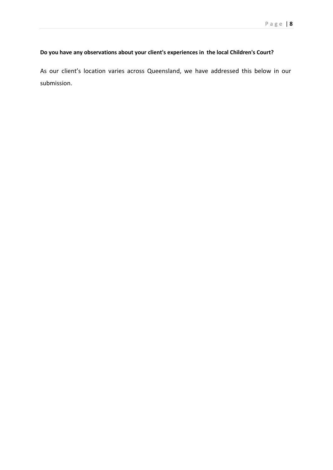# **Do you have any observations about your client's experiences in the local Children's Court?**

As our client's location varies across Queensland, we have addressed this below in our submission.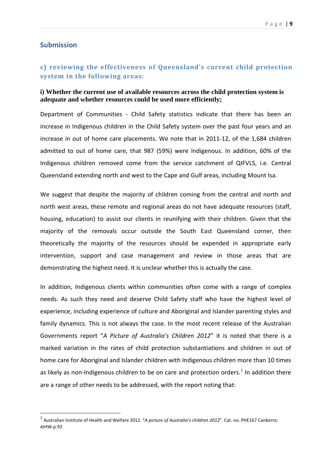# **Submission**

# **c) reviewing the effectiveness of Queensland's current child protection system in the following areas:**

## **i) Whether the current use of available resources across the child protection system is adequate and whether resources could be used more efficiently;**

Department of Communities - Child Safety statistics indicate that there has been an increase in Indigenous children in the Child Safety system over the past four years and an increase in out of home care placements. We note that in 2011-12, of the 1,684 children admitted to out of home care, that 987 (59%) were Indigenous. In addition, 60% of the Indigenous children removed come from the service catchment of QIFVLS, i.e. Central Queensland extending north and west to the Cape and Gulf areas, including Mount Isa.

We suggest that despite the majority of children coming from the central and north and north west areas, these remote and regional areas do not have adequate resources (staff, housing, education) to assist our clients in reunifying with their children. Given that the majority of the removals occur outside the South East Queensland corner, then theoretically the majority of the resources should be expended in appropriate early intervention, support and case management and review in those areas that are demonstrating the highest need. It is unclear whether this is actually the case.

In addition, Indigenous clients within communities often come with a range of complex needs. As such they need and deserve Child Safety staff who have the highest level of experience, including experience of culture and Aboriginal and Islander parenting styles and family dynamics. This is not always the case. In the most recent release of the Australian Governments report "*A Picture of Australia's Children 2012*" it is noted that there is a marked variation in the rates of child protection substantiations and children in out of home care for Aboriginal and Islander children with Indigenous children more than 10 times as likely as non-Indigenous children to be on care and protection orders.<sup>[1](#page-8-0)</sup> In addition there are a range of other needs to be addressed, with the report noting that:

<span id="page-8-0"></span> <sup>1</sup> Australian Institute of Health and Welfare 2012. "*A picture of Australia's children 2012*". Cat. no. PHE167 Canberra: AIHW.p.93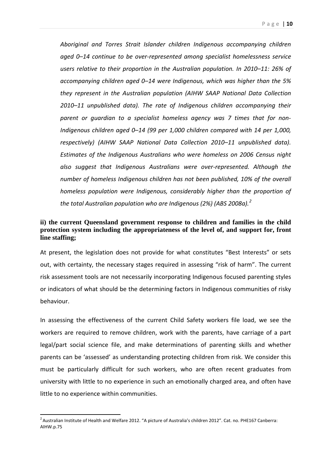*Aboriginal and Torres Strait Islander children Indigenous accompanying children aged 0–14 continue to be over-represented among specialist homelessness service users relative to their proportion in the Australian population. In 2010–11: 26% of accompanying children aged 0–14 were Indigenous, which was higher than the 5% they represent in the Australian population (AIHW SAAP National Data Collection 2010–11 unpublished data). The rate of Indigenous children accompanying their parent or guardian to a specialist homeless agency was 7 times that for non-Indigenous children aged 0–14 (99 per 1,000 children compared with 14 per 1,000, respectively) (AIHW SAAP National Data Collection 2010–11 unpublished data). Estimates of the Indigenous Australians who were homeless on 2006 Census night also suggest that Indigenous Australians were over-represented. Although the number of homeless Indigenous children has not been published, 10% of the overall homeless population were Indigenous, considerably higher than the proportion of the total Australian population who are Indigenous (2%) (ABS 2008a). [2](#page-9-0)*

## **ii) the current Queensland government response to children and families in the child protection system including the appropriateness of the level of, and support for, front line staffing;**

At present, the legislation does not provide for what constitutes "Best Interests" or sets out, with certainty, the necessary stages required in assessing "risk of harm". The current risk assessment tools are not necessarily incorporating Indigenous focused parenting styles or indicators of what should be the determining factors in Indigenous communities of risky behaviour.

In assessing the effectiveness of the current Child Safety workers file load, we see the workers are required to remove children, work with the parents, have carriage of a part legal/part social science file, and make determinations of parenting skills and whether parents can be 'assessed' as understanding protecting children from risk. We consider this must be particularly difficult for such workers, who are often recent graduates from university with little to no experience in such an emotionally charged area, and often have little to no experience within communities.

<span id="page-9-0"></span> $\frac{1}{2}$ <sup>2</sup> Australian Institute of Health and Welfare 2012. "A picture of Australia's children 2012". Cat. no. PHE167 Canberra: AIHW.p.75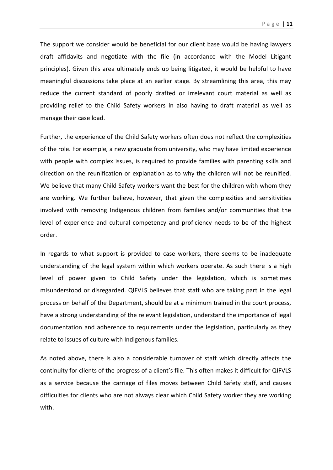Page | **11**

The support we consider would be beneficial for our client base would be having lawyers draft affidavits and negotiate with the file (in accordance with the Model Litigant principles). Given this area ultimately ends up being litigated, it would be helpful to have meaningful discussions take place at an earlier stage. By streamlining this area, this may reduce the current standard of poorly drafted or irrelevant court material as well as providing relief to the Child Safety workers in also having to draft material as well as manage their case load.

Further, the experience of the Child Safety workers often does not reflect the complexities of the role. For example, a new graduate from university, who may have limited experience with people with complex issues, is required to provide families with parenting skills and direction on the reunification or explanation as to why the children will not be reunified. We believe that many Child Safety workers want the best for the children with whom they are working. We further believe, however, that given the complexities and sensitivities involved with removing Indigenous children from families and/or communities that the level of experience and cultural competency and proficiency needs to be of the highest order.

In regards to what support is provided to case workers, there seems to be inadequate understanding of the legal system within which workers operate. As such there is a high level of power given to Child Safety under the legislation, which is sometimes misunderstood or disregarded. QIFVLS believes that staff who are taking part in the legal process on behalf of the Department, should be at a minimum trained in the court process, have a strong understanding of the relevant legislation, understand the importance of legal documentation and adherence to requirements under the legislation, particularly as they relate to issues of culture with Indigenous families.

As noted above, there is also a considerable turnover of staff which directly affects the continuity for clients of the progress of a client's file. This often makes it difficult for QIFVLS as a service because the carriage of files moves between Child Safety staff, and causes difficulties for clients who are not always clear which Child Safety worker they are working with.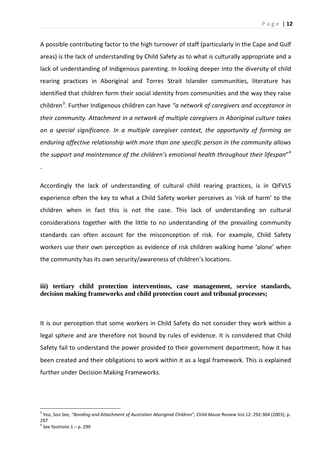A possible contributing factor to the high turnover of staff (particularly in the Cape and Gulf areas) is the lack of understanding by Child Safety as to what is culturally appropriate and a lack of understanding of Indigenous parenting. In looking deeper into the diversity of child rearing practices in Aboriginal and Torres Strait Islander communities, literature has identified that children form their social identity from communities and the way they raise children<sup>[3](#page-11-0)</sup>. Further Indigenous children can have "a network of caregivers and acceptance in *their community. Attachment in a network of multiple caregivers in Aboriginal culture takes on a special significance. In a multiple caregiver context, the opportunity of forming an enduring affective relationship with more than one specific person in the community allows the support and maintenance of the children's emotional health throughout their lifespan*" [4](#page-11-1)

Accordingly the lack of understanding of cultural child rearing practices, is in QIFVLS experience often the key to what a Child Safety worker perceives as 'risk of harm' to the children when in fact this is not the case. This lack of understanding on cultural considerations together with the little to no understanding of the prevailing community standards can often account for the misconception of risk. For example, Child Safety workers use their own perception as evidence of risk children walking home 'alone' when the community has its own security/awareness of children's locations.

## **iii) tertiary child protection interventions, case management, service standards, decision making frameworks and child protection court and tribunal processes;**

It is our perception that some workers in Child Safety do not consider they work within a legal sphere and are therefore not bound by rules of evidence. It is considered that Child Safety fail to understand the power provided to their government department; how it has been created and their obligations to work within it as a legal framework. This is explained further under Decision Making Frameworks.

.

<span id="page-11-0"></span> <sup>3</sup> Yeo, Soo See, "*Bonding and Attachment of Australian Aboriginal Children*", Child Abuse Review Vol.12: 292-304 (2003), p. 297

<span id="page-11-1"></span> $4$  See footnote  $1 - p$ . 299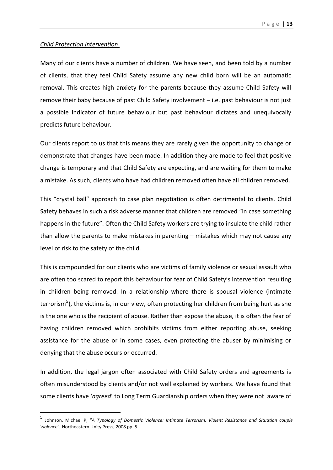#### *Child Protection Intervention*

Many of our clients have a number of children. We have seen, and been told by a number of clients, that they feel Child Safety assume any new child born will be an automatic removal. This creates high anxiety for the parents because they assume Child Safety will remove their baby because of past Child Safety involvement – i.e. past behaviour is not just a possible indicator of future behaviour but past behaviour dictates and unequivocally predicts future behaviour.

Our clients report to us that this means they are rarely given the opportunity to change or demonstrate that changes have been made. In addition they are made to feel that positive change is temporary and that Child Safety are expecting, and are waiting for them to make a mistake. As such, clients who have had children removed often have all children removed.

This "crystal ball" approach to case plan negotiation is often detrimental to clients. Child Safety behaves in such a risk adverse manner that children are removed "in case something happens in the future". Often the Child Safety workers are trying to insulate the child rather than allow the parents to make mistakes in parenting – mistakes which may not cause any level of risk to the safety of the child.

This is compounded for our clients who are victims of family violence or sexual assault who are often too scared to report this behaviour for fear of Child Safety's intervention resulting in children being removed. In a relationship where there is spousal violence (intimate terrorism<sup>[5](#page-12-0)</sup>), the victims is, in our view, often protecting her children from being hurt as she is the one who is the recipient of abuse. Rather than expose the abuse, it is often the fear of having children removed which prohibits victims from either reporting abuse, seeking assistance for the abuse or in some cases, even protecting the abuser by minimising or denying that the abuse occurs or occurred.

In addition, the legal jargon often associated with Child Safety orders and agreements is often misunderstood by clients and/or not well explained by workers. We have found that some clients have '*agreed*' to Long Term Guardianship orders when they were not aware of

<span id="page-12-0"></span> <sup>5</sup> Johnson, Michael P, "*A Typology of Domestic Violence: Intimate Terrorism, Violent Resistance and Situation couple Violence*", Northeastern Unity Press, 2008 pp. 5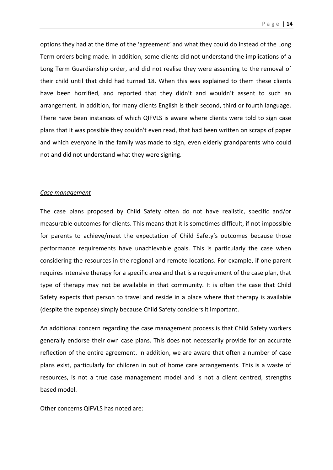options they had at the time of the 'agreement' and what they could do instead of the Long Term orders being made. In addition, some clients did not understand the implications of a Long Term Guardianship order, and did not realise they were assenting to the removal of their child until that child had turned 18. When this was explained to them these clients have been horrified, and reported that they didn't and wouldn't assent to such an arrangement. In addition, for many clients English is their second, third or fourth language. There have been instances of which QIFVLS is aware where clients were told to sign case plans that it was possible they couldn't even read, that had been written on scraps of paper and which everyone in the family was made to sign, even elderly grandparents who could not and did not understand what they were signing.

#### *Case management*

The case plans proposed by Child Safety often do not have realistic, specific and/or measurable outcomes for clients. This means that it is sometimes difficult, if not impossible for parents to achieve/meet the expectation of Child Safety's outcomes because those performance requirements have unachievable goals. This is particularly the case when considering the resources in the regional and remote locations. For example, if one parent requires intensive therapy for a specific area and that is a requirement of the case plan, that type of therapy may not be available in that community. It is often the case that Child Safety expects that person to travel and reside in a place where that therapy is available (despite the expense) simply because Child Safety considers it important.

An additional concern regarding the case management process is that Child Safety workers generally endorse their own case plans. This does not necessarily provide for an accurate reflection of the entire agreement. In addition, we are aware that often a number of case plans exist, particularly for children in out of home care arrangements. This is a waste of resources, is not a true case management model and is not a client centred, strengths based model.

Other concerns QIFVLS has noted are: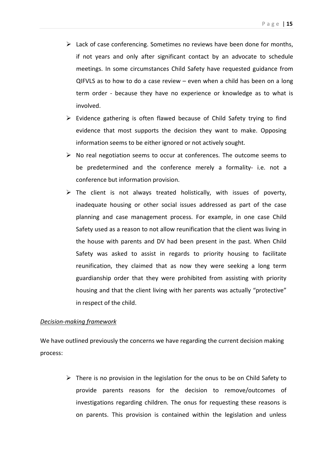- $\triangleright$  Lack of case conferencing. Sometimes no reviews have been done for months, if not years and only after significant contact by an advocate to schedule meetings. In some circumstances Child Safety have requested guidance from QIFVLS as to how to do a case review – even when a child has been on a long term order - because they have no experience or knowledge as to what is involved.
- $\triangleright$  Evidence gathering is often flawed because of Child Safety trying to find evidence that most supports the decision they want to make. Opposing information seems to be either ignored or not actively sought.
- $\triangleright$  No real negotiation seems to occur at conferences. The outcome seems to be predetermined and the conference merely a formality- i.e. not a conference but information provision.
- $\triangleright$  The client is not always treated holistically, with issues of poverty, inadequate housing or other social issues addressed as part of the case planning and case management process. For example, in one case Child Safety used as a reason to not allow reunification that the client was living in the house with parents and DV had been present in the past. When Child Safety was asked to assist in regards to priority housing to facilitate reunification, they claimed that as now they were seeking a long term guardianship order that they were prohibited from assisting with priority housing and that the client living with her parents was actually "protective" in respect of the child.

#### *Decision-making framework*

We have outlined previously the concerns we have regarding the current decision making process:

> $\triangleright$  There is no provision in the legislation for the onus to be on Child Safety to provide parents reasons for the decision to remove/outcomes of investigations regarding children. The onus for requesting these reasons is on parents. This provision is contained within the legislation and unless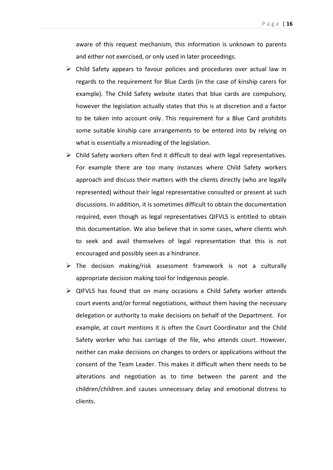aware of this request mechanism, this information is unknown to parents and either not exercised, or only used in later proceedings.

- $\triangleright$  Child Safety appears to favour policies and procedures over actual law in regards to the requirement for Blue Cards (in the case of kinship carers for example). The Child Safety website states that blue cards are compulsory, however the legislation actually states that this is at discretion and a factor to be taken into account only. This requirement for a Blue Card prohibits some suitable kinship care arrangements to be entered into by relying on what is essentially a misreading of the legislation.
- $\triangleright$  Child Safety workers often find it difficult to deal with legal representatives. For example there are too many instances where Child Safety workers approach and discuss their matters with the clients directly (who are legally represented) without their legal representative consulted or present at such discussions. In addition, it is sometimes difficult to obtain the documentation required, even though as legal representatives QIFVLS is entitled to obtain this documentation. We also believe that in some cases, where clients wish to seek and avail themselves of legal representation that this is not encouraged and possibly seen as a hindrance.
- $\triangleright$  The decision making/risk assessment framework is not a culturally appropriate decision making tool for Indigenous people.
- $\triangleright$  QIFVLS has found that on many occasions a Child Safety worker attends court events and/or formal negotiations, without them having the necessary delegation or authority to make decisions on behalf of the Department. For example, at court mentions it is often the Court Coordinator and the Child Safety worker who has carriage of the file, who attends court. However, neither can make decisions on changes to orders or applications without the consent of the Team Leader. This makes it difficult when there needs to be alterations and negotiation as to time between the parent and the children/children and causes unnecessary delay and emotional distress to clients.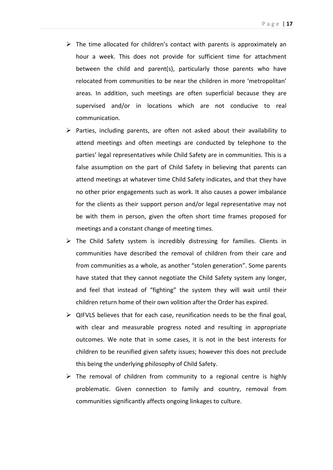- $\triangleright$  The time allocated for children's contact with parents is approximately an hour a week. This does not provide for sufficient time for attachment between the child and parent(s), particularly those parents who have relocated from communities to be near the children in more 'metropolitan' areas. In addition, such meetings are often superficial because they are supervised and/or in locations which are not conducive to real communication.
- $\triangleright$  Parties, including parents, are often not asked about their availability to attend meetings and often meetings are conducted by telephone to the parties' legal representatives while Child Safety are in communities. This is a false assumption on the part of Child Safety in believing that parents can attend meetings at whatever time Child Safety indicates, and that they have no other prior engagements such as work. It also causes a power imbalance for the clients as their support person and/or legal representative may not be with them in person, given the often short time frames proposed for meetings and a constant change of meeting times.
- $\triangleright$  The Child Safety system is incredibly distressing for families. Clients in communities have described the removal of children from their care and from communities as a whole, as another "stolen generation". Some parents have stated that they cannot negotiate the Child Safety system any longer, and feel that instead of "fighting" the system they will wait until their children return home of their own volition after the Order has expired.
- $\triangleright$  QIFVLS believes that for each case, reunification needs to be the final goal, with clear and measurable progress noted and resulting in appropriate outcomes. We note that in some cases, it is not in the best interests for children to be reunified given safety issues; however this does not preclude this being the underlying philosophy of Child Safety.
- $\triangleright$  The removal of children from community to a regional centre is highly problematic. Given connection to family and country, removal from communities significantly affects ongoing linkages to culture.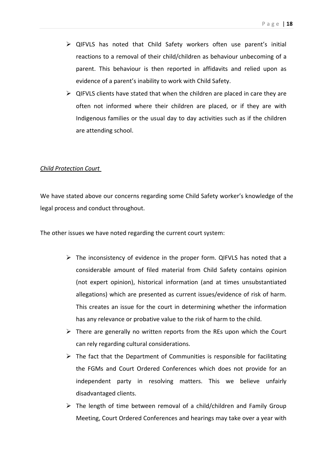- QIFVLS has noted that Child Safety workers often use parent's initial reactions to a removal of their child/children as behaviour unbecoming of a parent. This behaviour is then reported in affidavits and relied upon as evidence of a parent's inability to work with Child Safety.
- $\triangleright$  QIFVLS clients have stated that when the children are placed in care they are often not informed where their children are placed, or if they are with Indigenous families or the usual day to day activities such as if the children are attending school.

#### *Child Protection Court*

We have stated above our concerns regarding some Child Safety worker's knowledge of the legal process and conduct throughout.

The other issues we have noted regarding the current court system:

- $\triangleright$  The inconsistency of evidence in the proper form. QIFVLS has noted that a considerable amount of filed material from Child Safety contains opinion (not expert opinion), historical information (and at times unsubstantiated allegations) which are presented as current issues/evidence of risk of harm. This creates an issue for the court in determining whether the information has any relevance or probative value to the risk of harm to the child.
- $\triangleright$  There are generally no written reports from the REs upon which the Court can rely regarding cultural considerations.
- $\triangleright$  The fact that the Department of Communities is responsible for facilitating the FGMs and Court Ordered Conferences which does not provide for an independent party in resolving matters. This we believe unfairly disadvantaged clients.
- $\triangleright$  The length of time between removal of a child/children and Family Group Meeting, Court Ordered Conferences and hearings may take over a year with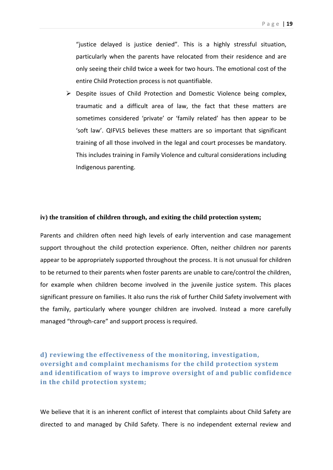"justice delayed is justice denied". This is a highly stressful situation, particularly when the parents have relocated from their residence and are only seeing their child twice a week for two hours. The emotional cost of the entire Child Protection process is not quantifiable.

 $\triangleright$  Despite issues of Child Protection and Domestic Violence being complex, traumatic and a difficult area of law, the fact that these matters are sometimes considered 'private' or 'family related' has then appear to be 'soft law'. QIFVLS believes these matters are so important that significant training of all those involved in the legal and court processes be mandatory. This includes training in Family Violence and cultural considerations including Indigenous parenting.

#### **iv) the transition of children through, and exiting the child protection system;**

Parents and children often need high levels of early intervention and case management support throughout the child protection experience. Often, neither children nor parents appear to be appropriately supported throughout the process. It is not unusual for children to be returned to their parents when foster parents are unable to care/control the children, for example when children become involved in the juvenile justice system. This places significant pressure on families. It also runs the risk of further Child Safety involvement with the family, particularly where younger children are involved. Instead a more carefully managed "through-care" and support process is required.

# **d) reviewing the effectiveness of the monitoring, investigation, oversight and complaint mechanisms for the child protection system and identification of ways to improve oversight of and public confidence in the child protection system;**

We believe that it is an inherent conflict of interest that complaints about Child Safety are directed to and managed by Child Safety. There is no independent external review and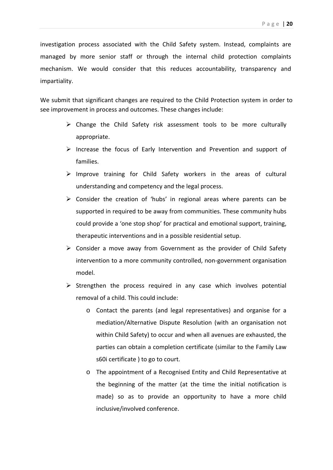investigation process associated with the Child Safety system. Instead, complaints are managed by more senior staff or through the internal child protection complaints mechanism. We would consider that this reduces accountability, transparency and impartiality.

We submit that significant changes are required to the Child Protection system in order to see improvement in process and outcomes. These changes include:

- $\triangleright$  Change the Child Safety risk assessment tools to be more culturally appropriate.
- $\triangleright$  Increase the focus of Early Intervention and Prevention and support of families.
- $\triangleright$  Improve training for Child Safety workers in the areas of cultural understanding and competency and the legal process.
- $\triangleright$  Consider the creation of 'hubs' in regional areas where parents can be supported in required to be away from communities. These community hubs could provide a 'one stop shop' for practical and emotional support, training, therapeutic interventions and in a possible residential setup.
- $\triangleright$  Consider a move away from Government as the provider of Child Safety intervention to a more community controlled, non-government organisation model.
- $\triangleright$  Strengthen the process required in any case which involves potential removal of a child. This could include:
	- o Contact the parents (and legal representatives) and organise for a mediation/Alternative Dispute Resolution (with an organisation not within Child Safety) to occur and when all avenues are exhausted, the parties can obtain a completion certificate (similar to the Family Law s60i certificate ) to go to court.
	- o The appointment of a Recognised Entity and Child Representative at the beginning of the matter (at the time the initial notification is made) so as to provide an opportunity to have a more child inclusive/involved conference.